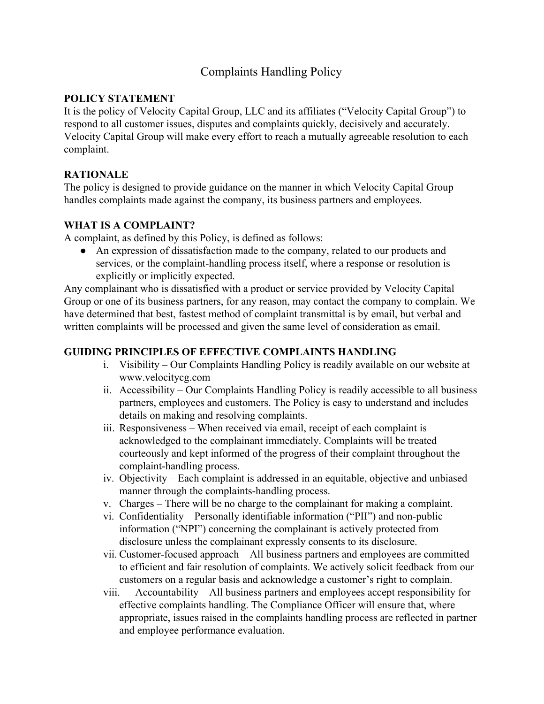# Complaints Handling Policy

## **POLICY STATEMENT**

It is the policy of Velocity Capital Group, LLC and its affiliates ("Velocity Capital Group") to respond to all customer issues, disputes and complaints quickly, decisively and accurately. Velocity Capital Group will make every effort to reach a mutually agreeable resolution to each complaint.

# **RATIONALE**

The policy is designed to provide guidance on the manner in which Velocity Capital Group handles complaints made against the company, its business partners and employees.

#### **WHAT IS A COMPLAINT?**

A complaint, as defined by this Policy, is defined as follows:

● An expression of dissatisfaction made to the company, related to our products and services, or the complaint-handling process itself, where a response or resolution is explicitly or implicitly expected.

Any complainant who is dissatisfied with a product or service provided by Velocity Capital Group or one of its business partners, for any reason, may contact the company to complain. We have determined that best, fastest method of complaint transmittal is by email, but verbal and written complaints will be processed and given the same level of consideration as email.

## **GUIDING PRINCIPLES OF EFFECTIVE COMPLAINTS HANDLING**

- i. Visibility Our Complaints Handling Policy is readily available on our website at www.velocitycg.com
- ii. Accessibility Our Complaints Handling Policy is readily accessible to all business partners, employees and customers. The Policy is easy to understand and includes details on making and resolving complaints.
- iii. Responsiveness When received via email, receipt of each complaint is acknowledged to the complainant immediately. Complaints will be treated courteously and kept informed of the progress of their complaint throughout the complaint-handling process.
- iv. Objectivity Each complaint is addressed in an equitable, objective and unbiased manner through the complaints-handling process.
- v. Charges There will be no charge to the complainant for making a complaint.
- vi. Confidentiality Personally identifiable information ("PII") and non-public information ("NPI") concerning the complainant is actively protected from disclosure unless the complainant expressly consents to its disclosure.
- vii. Customer-focused approach All business partners and employees are committed to efficient and fair resolution of complaints. We actively solicit feedback from our customers on a regular basis and acknowledge a customer's right to complain.
- viii. Accountability All business partners and employees accept responsibility for effective complaints handling. The Compliance Officer will ensure that, where appropriate, issues raised in the complaints handling process are reflected in partner and employee performance evaluation.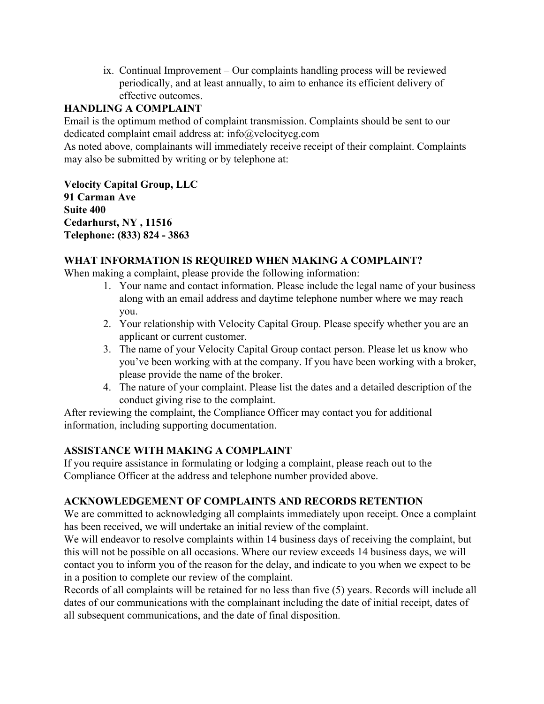ix. Continual Improvement – Our complaints handling process will be reviewed periodically, and at least annually, to aim to enhance its efficient delivery of effective outcomes.

# **HANDLING A COMPLAINT**

Email is the optimum method of complaint transmission. Complaints should be sent to our dedicated complaint email address at: info@velocitycg.com

As noted above, complainants will immediately receive receipt of their complaint. Complaints may also be submitted by writing or by telephone at:

**Velocity Capital Group, LLC 91 Carman Ave Suite 400 Cedarhurst, NY , 11516 Telephone: (833) 824 - 3863**

## **WHAT INFORMATION IS REQUIRED WHEN MAKING A COMPLAINT?**

When making a complaint, please provide the following information:

- 1. Your name and contact information. Please include the legal name of your business along with an email address and daytime telephone number where we may reach you.
- 2. Your relationship with Velocity Capital Group. Please specify whether you are an applicant or current customer.
- 3. The name of your Velocity Capital Group contact person. Please let us know who you've been working with at the company. If you have been working with a broker, please provide the name of the broker.
- 4. The nature of your complaint. Please list the dates and a detailed description of the conduct giving rise to the complaint.

After reviewing the complaint, the Compliance Officer may contact you for additional information, including supporting documentation.

#### **ASSISTANCE WITH MAKING A COMPLAINT**

If you require assistance in formulating or lodging a complaint, please reach out to the Compliance Officer at the address and telephone number provided above.

# **ACKNOWLEDGEMENT OF COMPLAINTS AND RECORDS RETENTION**

We are committed to acknowledging all complaints immediately upon receipt. Once a complaint has been received, we will undertake an initial review of the complaint.

We will endeavor to resolve complaints within 14 business days of receiving the complaint, but this will not be possible on all occasions. Where our review exceeds 14 business days, we will contact you to inform you of the reason for the delay, and indicate to you when we expect to be in a position to complete our review of the complaint.

Records of all complaints will be retained for no less than five (5) years. Records will include all dates of our communications with the complainant including the date of initial receipt, dates of all subsequent communications, and the date of final disposition.